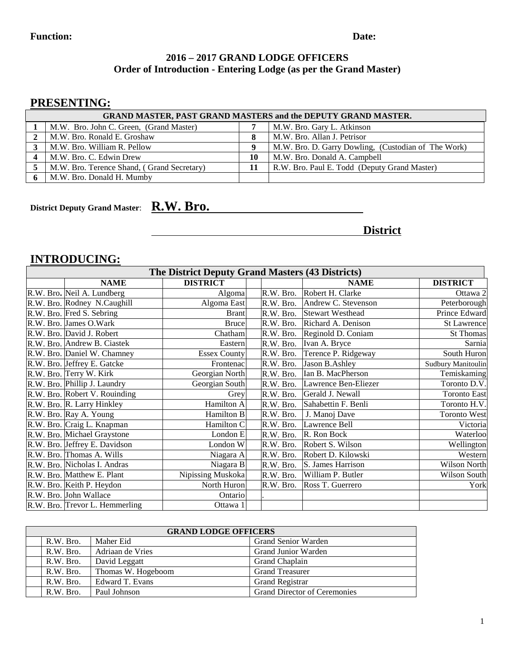#### Function: Date: **Date:**

#### **2016 – 2017 GRAND LODGE OFFICERS Order of Introduction - Entering Lodge (as per the Grand Master)**

## **PRESENTING:**

| <b>GRAND MASTER, PAST GRAND MASTERS and the DEPUTY GRAND MASTER.</b> |    |                                                     |  |  |  |  |
|----------------------------------------------------------------------|----|-----------------------------------------------------|--|--|--|--|
| M.W. Bro. John C. Green, (Grand Master)                              |    | M.W. Bro. Gary L. Atkinson                          |  |  |  |  |
| M.W. Bro. Ronald E. Groshaw                                          |    | M.W. Bro. Allan J. Petrisor                         |  |  |  |  |
| M.W. Bro. William R. Pellow                                          |    | M.W. Bro. D. Garry Dowling, (Custodian of The Work) |  |  |  |  |
| M.W. Bro. C. Edwin Drew                                              | 10 | M.W. Bro. Donald A. Campbell                        |  |  |  |  |
| M.W. Bro. Terence Shand, (Grand Secretary)                           |    | R.W. Bro. Paul E. Todd (Deputy Grand Master)        |  |  |  |  |
| M.W. Bro. Donald H. Mumby                                            |    |                                                     |  |  |  |  |

**District Deputy Grand Master**: **R.W. Bro.**

**District**

## **INTRODUCING:**

| The District Deputy Grand Masters (43 Districts) |                                |                     |           |                         |                     |  |  |
|--------------------------------------------------|--------------------------------|---------------------|-----------|-------------------------|---------------------|--|--|
|                                                  | <b>NAME</b>                    | <b>DISTRICT</b>     |           | <b>NAME</b>             | <b>DISTRICT</b>     |  |  |
|                                                  | R.W. Bro. Neil A. Lundberg     | Algoma              | R.W. Bro. | Robert H. Clarke        | Ottawa 2            |  |  |
|                                                  | R.W. Bro. Rodney N.Caughill    | Algoma East         | R.W. Bro. | Andrew C. Stevenson     | Peterborough        |  |  |
|                                                  | R.W. Bro. Fred S. Sebring      | <b>Brant</b>        | R.W. Bro. | <b>Stewart Westhead</b> | Prince Edward       |  |  |
|                                                  | R.W. Bro. James O.Wark         | <b>Bruce</b>        | R.W. Bro. | Richard A. Denison      | <b>St Lawrence</b>  |  |  |
|                                                  | R.W. Bro. David J. Robert      | Chatham             | R.W. Bro. | Reginold D. Coniam      | <b>St Thomas</b>    |  |  |
|                                                  | R.W. Bro. Andrew B. Ciastek    | Eastern             | R.W. Bro. | Ivan A. Bryce           | Sarnia              |  |  |
|                                                  | R.W. Bro. Daniel W. Chamney    | <b>Essex County</b> | R.W. Bro. | Terence P. Ridgeway     | South Huron         |  |  |
|                                                  | R.W. Bro. Jeffrey E. Gatcke    | Frontenac           | R.W. Bro. | Jason B.Ashley          | Sudbury Manitoulin  |  |  |
|                                                  | R.W. Bro. Terry W. Kirk        | Georgian North      | R.W. Bro. | Ian B. MacPherson       | Temiskaming         |  |  |
|                                                  | R.W. Bro. Phillip J. Laundry   | Georgian South      | R.W. Bro. | Lawrence Ben-Eliezer    | Toronto D.V.        |  |  |
|                                                  | R.W. Bro. Robert V. Rouinding  | Grey                | R.W. Bro. | Gerald J. Newall        | <b>Toronto East</b> |  |  |
|                                                  | R.W. Bro. R. Larry Hinkley     | Hamilton A          | R.W. Bro. | Sahabettin F. Benli     | Toronto H.V.        |  |  |
|                                                  | R.W. Bro. Ray A. Young         | Hamilton B          | R.W. Bro. | J. Manoj Dave           | <b>Toronto West</b> |  |  |
|                                                  | R.W. Bro. Craig L. Knapman     | Hamilton C          | R.W. Bro. | Lawrence Bell           | Victoria            |  |  |
|                                                  | R.W. Bro. Michael Graystone    | London E            | R.W. Bro. | R. Ron Bock             | Waterloo            |  |  |
|                                                  | R.W. Bro. Jeffrey E. Davidson  | London W            | R.W. Bro. | Robert S. Wilson        | Wellington          |  |  |
|                                                  | R.W. Bro. Thomas A. Wills      | Niagara A           | R.W. Bro. | Robert D. Kilowski      | Western             |  |  |
|                                                  | R.W. Bro. Nicholas I. Andras   | Niagara B           | R.W. Bro. | S. James Harrison       | <b>Wilson North</b> |  |  |
|                                                  | R.W. Bro. Matthew E. Plant     | Nipissing Muskoka   | R.W. Bro. | William P. Butler       | Wilson South        |  |  |
|                                                  | R.W. Bro. Keith P. Heydon      | North Huron         | R.W. Bro. | Ross T. Guerrero        | York                |  |  |
|                                                  | R.W. Bro. John Wallace         | Ontario             |           |                         |                     |  |  |
|                                                  | R.W. Bro. Trevor L. Hemmerling | Ottawa 1            |           |                         |                     |  |  |

| <b>GRAND LODGE OFFICERS</b> |                    |                                     |  |  |  |  |  |
|-----------------------------|--------------------|-------------------------------------|--|--|--|--|--|
| R.W. Bro.                   | Maher Eid          | <b>Grand Senior Warden</b>          |  |  |  |  |  |
| R.W. Bro.                   | Adriaan de Vries   | <b>Grand Junior Warden</b>          |  |  |  |  |  |
| R.W. Bro.                   | David Leggatt      | Grand Chaplain                      |  |  |  |  |  |
| R.W. Bro.                   | Thomas W. Hogeboom | <b>Grand Treasurer</b>              |  |  |  |  |  |
| R.W. Bro.                   | Edward T. Evans    | <b>Grand Registrar</b>              |  |  |  |  |  |
| R.W. Bro.                   | Paul Johnson       | <b>Grand Director of Ceremonies</b> |  |  |  |  |  |